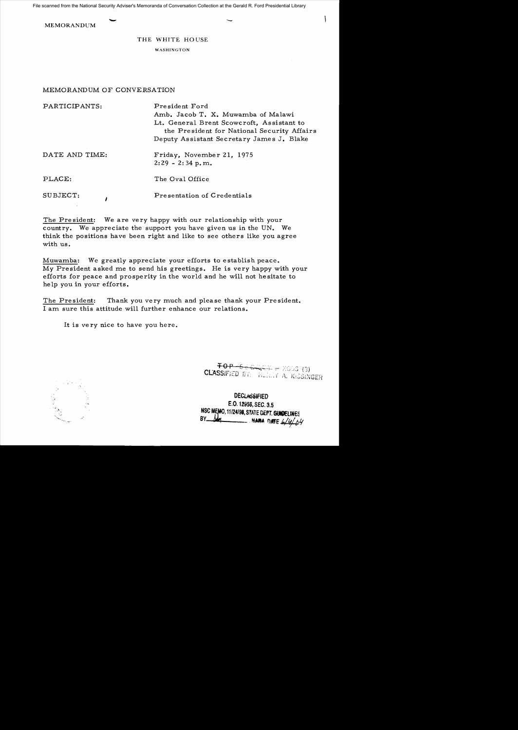File scanned from the National Security Adviser's Memoranda of Conversation Collection at the Gerald R. Ford Presidential Library

MEMORANDUM

## THE WHITE HOUSE

WASHINGTON

## MEMORANDUM OF CONVERSATION

| PARTICIPANTS:  | President Ford<br>Amb. Jacob T. X. Muwamba of Malawi<br>Lt. General Brent Scowcroft, Assistant to<br>the President for National Security Affairs<br>Deputy Assistant Secretary James J. Blake |
|----------------|-----------------------------------------------------------------------------------------------------------------------------------------------------------------------------------------------|
| DATE AND TIME: | Friday, November 21, 1975<br>$2:29 - 2:34$ p.m.                                                                                                                                               |
| PLACE:         | The Oval Office                                                                                                                                                                               |
| SUBJECT:       | Presentation of Credentials                                                                                                                                                                   |

The President: We are very happy with our relationship with your country. We appreciate the support you have given us in the UN. We think the positions have been right and like to see others like you agree with us.

Muwamba: We greatly appreciate your efforts to establish peace. *My* President asked me to send his greetings. He is very happy with your efforts for peace and prosperity in the world and he will not he sitate to he lp you in your efforts.

The President: Thank you very much and please thank your President. I am sure this attitude will further enhance our relations.

It is ve ry nice to have you here.

 $5. (3)$ CLASSIFIED BY: HERRY A. KISSINGER

**DECLASSIFIED** E.O. 1Z956,SEC. 3.5 NSC MEMO, 11/24/98, STATE DEPT. GUIDELINES **BE 4/4/04**